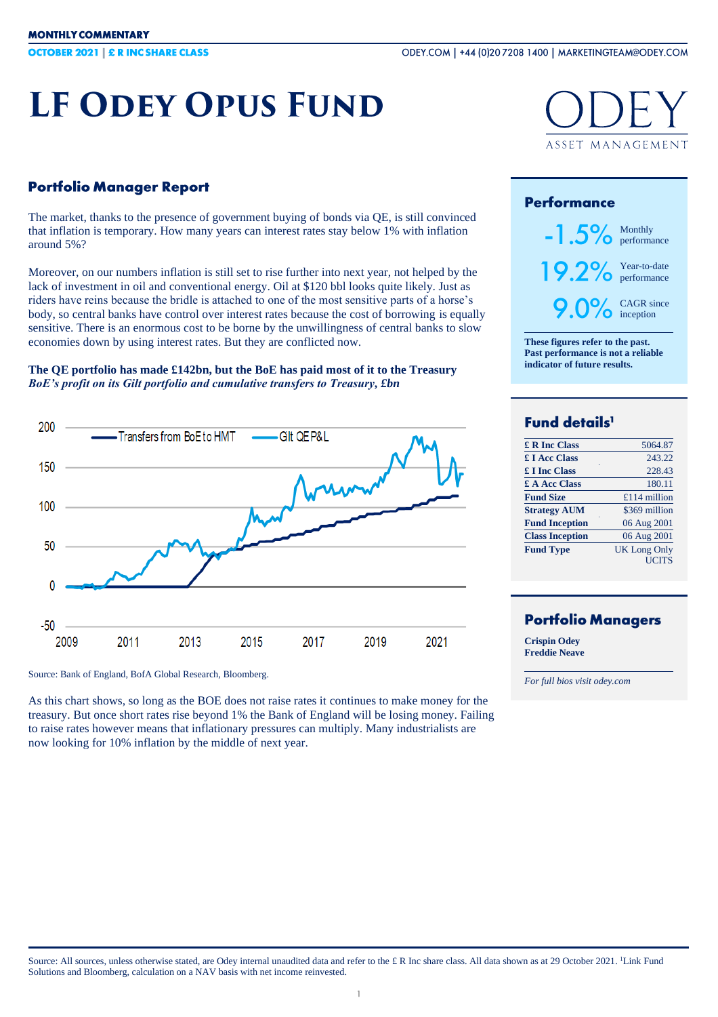# **LF ODEY OPUS FUND**

## **Portfolio Manager Report**

The market, thanks to the presence of government buying of bonds via QE, is still convinced that inflation is temporary. How many years can interest rates stay below 1% with inflation around 5%?

Moreover, on our numbers inflation is still set to rise further into next year, not helped by the lack of investment in oil and conventional energy. Oil at \$120 bbl looks quite likely. Just as riders have reins because the bridle is attached to one of the most sensitive parts of a horse's body, so central banks have control over interest rates because the cost of borrowing is equally sensitive. There is an enormous cost to be borne by the unwillingness of central banks to slow economies down by using interest rates. But they are conflicted now.

#### **The QE portfolio has made £142bn, but the BoE has paid most of it to the Treasury** *BoE's profit on its Gilt portfolio and cumulative transfers to Treasury, £bn*



Source: Bank of England, BofA Global Research, Bloomberg.

As this chart shows, so long as the BOE does not raise rates it continues to make money for the treasury. But once short rates rise beyond 1% the Bank of England will be losing money. Failing to raise rates however means that inflationary pressures can multiply. Many industrialists are now looking for 10% inflation by the middle of next year.



### **Performance**



**These figures refer to the past. Past performance is not a reliable indicator of future results.**

# Fund details<sup>1</sup>

| £ R Inc Class          | 5064.87             |
|------------------------|---------------------|
| <b>£ I Acc Class</b>   | 243.22              |
| <b>£ I Inc Class</b>   | 228.43              |
| £ A Acc Class          | 180.11              |
| <b>Fund Size</b>       | £114 million        |
| <b>Strategy AUM</b>    | \$369 million       |
| <b>Fund Inception</b>  | 06 Aug 2001         |
| <b>Class Inception</b> | 06 Aug 2001         |
| <b>Fund Type</b>       | <b>UK Long Only</b> |
|                        | <b>UCITS</b>        |

## **Portfolio Managers**

**Crispin Odey Freddie Neave**

*For full bios visit odey.com*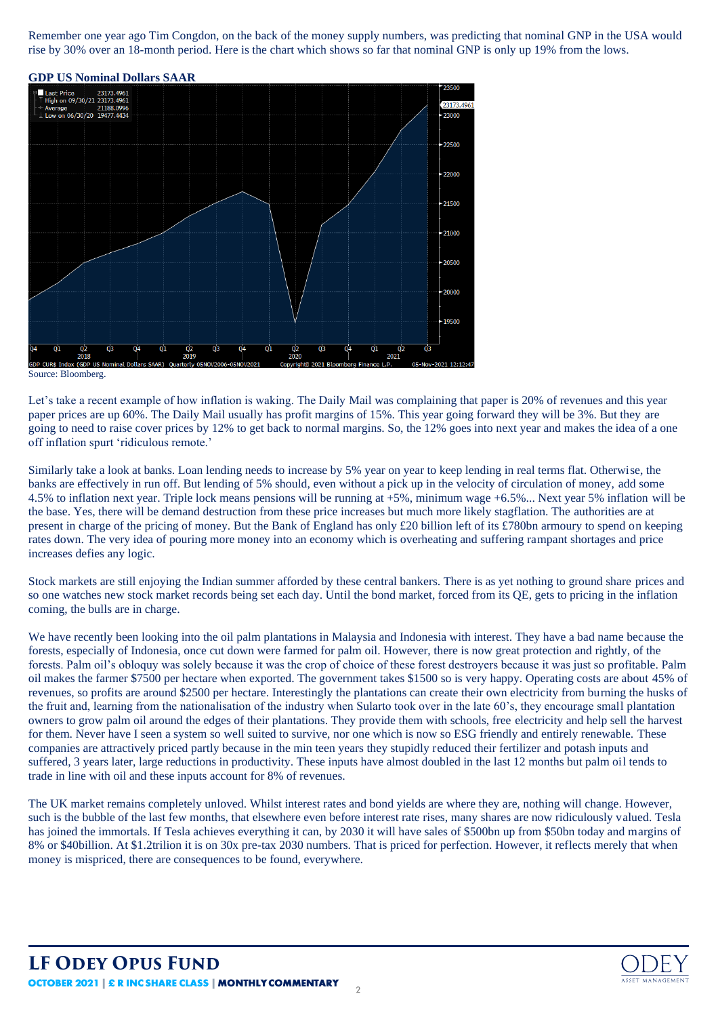Remember one year ago Tim Congdon, on the back of the money supply numbers, was predicting that nominal GNP in the USA would rise by 30% over an 18-month period. Here is the chart which shows so far that nominal GNP is only up 19% from the lows.



#### Source: Bloomberg.

Let's take a recent example of how inflation is waking. The Daily Mail was complaining that paper is 20% of revenues and this year paper prices are up 60%. The Daily Mail usually has profit margins of 15%. This year going forward they will be 3%. But they are going to need to raise cover prices by 12% to get back to normal margins. So, the 12% goes into next year and makes the idea of a one off inflation spurt 'ridiculous remote.'

Similarly take a look at banks. Loan lending needs to increase by 5% year on year to keep lending in real terms flat. Otherwise, the banks are effectively in run off. But lending of 5% should, even without a pick up in the velocity of circulation of money, add some 4.5% to inflation next year. Triple lock means pensions will be running at +5%, minimum wage +6.5%... Next year 5% inflation will be the base. Yes, there will be demand destruction from these price increases but much more likely stagflation. The authorities are at present in charge of the pricing of money. But the Bank of England has only £20 billion left of its £780bn armoury to spend on keeping rates down. The very idea of pouring more money into an economy which is overheating and suffering rampant shortages and price increases defies any logic.

Stock markets are still enjoying the Indian summer afforded by these central bankers. There is as yet nothing to ground share prices and so one watches new stock market records being set each day. Until the bond market, forced from its QE, gets to pricing in the inflation coming, the bulls are in charge.

We have recently been looking into the oil palm plantations in Malaysia and Indonesia with interest. They have a bad name because the forests, especially of Indonesia, once cut down were farmed for palm oil. However, there is now great protection and rightly, of the forests. Palm oil's obloquy was solely because it was the crop of choice of these forest destroyers because it was just so profitable. Palm oil makes the farmer \$7500 per hectare when exported. The government takes \$1500 so is very happy. Operating costs are about 45% of revenues, so profits are around \$2500 per hectare. Interestingly the plantations can create their own electricity from burning the husks of the fruit and, learning from the nationalisation of the industry when Sularto took over in the late 60's, they encourage small plantation owners to grow palm oil around the edges of their plantations. They provide them with schools, free electricity and help sell the harvest for them. Never have I seen a system so well suited to survive, nor one which is now so ESG friendly and entirely renewable. These companies are attractively priced partly because in the min teen years they stupidly reduced their fertilizer and potash inputs and suffered, 3 years later, large reductions in productivity. These inputs have almost doubled in the last 12 months but palm oil tends to trade in line with oil and these inputs account for 8% of revenues.

The UK market remains completely unloved. Whilst interest rates and bond yields are where they are, nothing will change. However, such is the bubble of the last few months, that elsewhere even before interest rate rises, many shares are now ridiculously valued. Tesla has joined the immortals. If Tesla achieves everything it can, by 2030 it will have sales of \$500bn up from \$50bn today and margins of 8% or \$40billion. At \$1.2trilion it is on 30x pre-tax 2030 numbers. That is priced for perfection. However, it reflects merely that when money is mispriced, there are consequences to be found, everywhere.

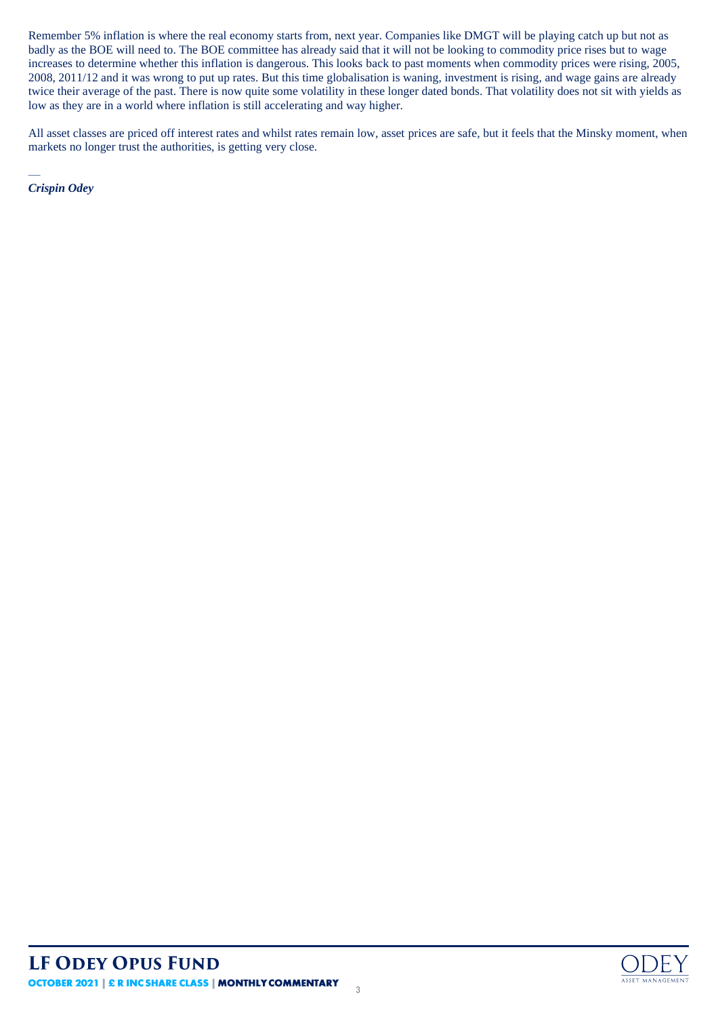Remember 5% inflation is where the real economy starts from, next year. Companies like DMGT will be playing catch up but not as badly as the BOE will need to. The BOE committee has already said that it will not be looking to commodity price rises but to wage increases to determine whether this inflation is dangerous. This looks back to past moments when commodity prices were rising, 2005, 2008, 2011/12 and it was wrong to put up rates. But this time globalisation is waning, investment is rising, and wage gains are already twice their average of the past. There is now quite some volatility in these longer dated bonds. That volatility does not sit with yields as low as they are in a world where inflation is still accelerating and way higher.

All asset classes are priced off interest rates and whilst rates remain low, asset prices are safe, but it feels that the Minsky moment, when markets no longer trust the authorities, is getting very close.

— *Crispin Odey*

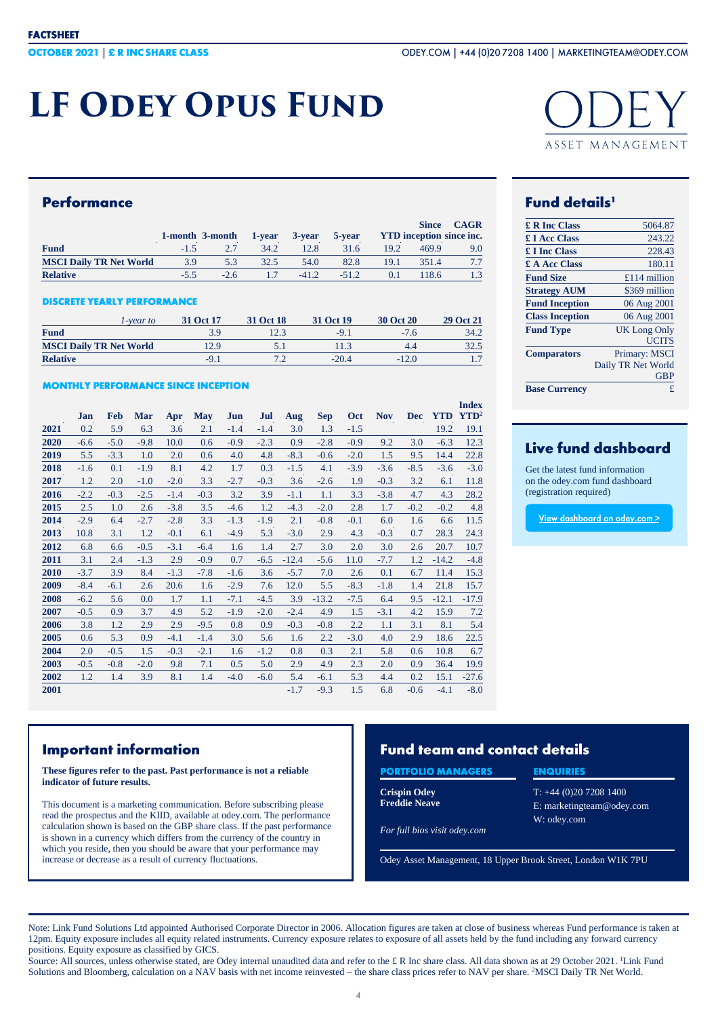# **LF ODEY OPUS FUND**



### **Performance**

|                                |        | 1-month 3-month | 1-year | 3-year  | 5-year  |      | <b>Since</b><br><b>YTD</b> inception since inc. | <b>CAGR</b> |
|--------------------------------|--------|-----------------|--------|---------|---------|------|-------------------------------------------------|-------------|
| <b>Fund</b>                    | $-1.5$ |                 | 34.2   | 12.8    | 31.6    | 19.2 | 469.9                                           | 9.0         |
| <b>MSCI Daily TR Net World</b> | 3.9    | 5.3             | 32.5   | 54.0    | 82.8    | 19.1 | 351.4                                           |             |
| <b>Relative</b>                |        | $-2.6$          | 17     | $-41.2$ | $-51.2$ |      | 18.6                                            | 1.3         |

#### **DISCRETE YEARLY PERFORMANCE**

| l-vear to                      | 31 Oct 17 | 31 Oct 18 | 31 Oct 19 | <b>30 Oct 20</b> | 29 Oct 21      |
|--------------------------------|-----------|-----------|-----------|------------------|----------------|
| <b>Fund</b>                    |           | 12.3      | $-9.1$    | $-7.6$           | 34.2           |
| <b>MSCI Daily TR Net World</b> | 12.9      |           |           | 4.4              | 32.5           |
| <b>Relative</b>                | $-9.1$    |           | $-20.4$   | $-12.0$          | $\mathbf{1}$ . |

#### **MONTHLY PERFORMANCE SINCE INCEPTION**

|      | Jan    | <b>Feb</b> | <b>Mar</b> | Apr    | <b>May</b> | Jun    | Jul    | Aug     | <b>Sep</b> | <b>Oct</b> | <b>Nov</b> | <b>Dec</b> | <b>YTD</b> | <b>Index</b><br>$\mathbf{YTD}^2$ |
|------|--------|------------|------------|--------|------------|--------|--------|---------|------------|------------|------------|------------|------------|----------------------------------|
| 2021 | 0.2    | 5.9        | 6.3        | 3.6    | 2.1        | $-1.4$ | $-1.4$ | 3.0     | 1.3        | $-1.5$     |            |            | 19.2       | 19.1                             |
| 2020 | $-6.6$ | $-5.0$     | $-9.8$     | 10.0   | 0.6        | $-0.9$ | $-2.3$ | 0.9     | $-2.8$     | $-0.9$     | 9.2        | 3.0        | $-6.3$     | 12.3                             |
| 2019 | 5.5    | $-3.3$     | 1.0        | 2.0    | 0.6        | 4.0    | 4.8    | $-8.3$  | $-0.6$     | $-2.0$     | 1.5        | 9.5        | 14.4       | 22.8                             |
| 2018 | $-1.6$ | 0.1        | $-1.9$     | 8.1    | 4.2        | 1.7    | 0.3    | $-1.5$  | 4.1        | $-3.9$     | $-3.6$     | $-8.5$     | $-3.6$     | $-3.0$                           |
| 2017 | 1.2    | 2.0        | $-1.0$     | $-2.0$ | 3.3        | $-2.7$ | $-0.3$ | 3.6     | $-2.6$     | 1.9        | $-0.3$     | 3.2        | 6.1        | 11.8                             |
| 2016 | $-2.2$ | $-0.3$     | $-2.5$     | $-1.4$ | $-0.3$     | 3.2    | 3.9    | $-1.1$  | 1.1        | 3.3        | $-3.8$     | 4.7        | 4.3        | 28.2                             |
| 2015 | 2.5    | 1.0        | 2.6        | $-3.8$ | 3.5        | $-4.6$ | 1.2    | $-4.3$  | $-2.0$     | 2.8        | 1.7        | $-0.2$     | $-0.2$     | 4.8                              |
| 2014 | $-2.9$ | 6.4        | $-2.7$     | $-2.8$ | 3.3        | $-1.3$ | $-1.9$ | 2.1     | $-0.8$     | $-0.1$     | 6.0        | 1.6        | 6.6        | 11.5                             |
| 2013 | 10.8   | 3.1        | 1.2        | $-0.1$ | 6.1        | $-4.9$ | 5.3    | $-3.0$  | 2.9        | 4.3        | $-0.3$     | 0.7        | 28.3       | 24.3                             |
| 2012 | 6.8    | 6.6        | $-0.5$     | $-3.1$ | $-6.4$     | 1.6    | 1.4    | 2.7     | 3.0        | 2.0        | 3.0        | 2.6        | 20.7       | 10.7                             |
| 2011 | 3.1    | 2.4        | $-1.3$     | 2.9    | $-0.9$     | 0.7    | $-6.5$ | $-12.4$ | $-5.6$     | 11.0       | $-7.7$     | 1.2        | $-14.2$    | $-4.8$                           |
| 2010 | $-3.7$ | 3.9        | 8.4        | $-1.3$ | $-7.8$     | $-1.6$ | 3.6    | $-5.7$  | 7.0        | 2.6        | 0.1        | 6.7        | 11.4       | 15.3                             |
| 2009 | $-8.4$ | $-6.1$     | 2.6        | 20.6   | 1.6        | $-2.9$ | 7.6    | 12.0    | 5.5        | $-8.3$     | $-1.8$     | 1.4        | 21.8       | 15.7                             |
| 2008 | $-6.2$ | 5.6        | 0.0        | 1.7    | 1.1        | $-7.1$ | $-4.5$ | 3.9     | $-13.2$    | $-7.5$     | 6.4        | 9.5        | $-12.1$    | $-17.9$                          |
| 2007 | $-0.5$ | 0.9        | 3.7        | 4.9    | 5.2        | $-1.9$ | $-2.0$ | $-2.4$  | 4.9        | 1.5        | $-3.1$     | 4.2        | 15.9       | 7.2                              |
| 2006 | 3.8    | 1.2        | 2.9        | 2.9    | $-9.5$     | 0.8    | 0.9    | $-0.3$  | $-0.8$     | 2.2        | 1.1        | 3.1        | 8.1        | 5.4                              |
| 2005 | 0.6    | 5.3        | 0.9        | $-4.1$ | $-1.4$     | 3.0    | 5.6    | 1.6     | 2.2        | $-3.0$     | 4.0        | 2.9        | 18.6       | 22.5                             |
| 2004 | 2.0    | $-0.5$     | 1.5        | $-0.3$ | $-2.1$     | 1.6    | $-1.2$ | 0.8     | 0.3        | 2.1        | 5.8        | 0.6        | 10.8       | 6.7                              |
| 2003 | $-0.5$ | $-0.8$     | $-2.0$     | 9.8    | 7.1        | 0.5    | 5.0    | 2.9     | 4.9        | 2.3        | 2.0        | 0.9        | 36.4       | 19.9                             |
| 2002 | 1.2    | 1.4        | 3.9        | 8.1    | 1.4        | $-4.0$ | $-6.0$ | 5.4     | $-6.1$     | 5.3        | 4.4        | 0.2        | 15.1       | $-27.6$                          |
| 2001 |        |            |            |        |            |        |        | $-1.7$  | $-9.3$     | 1.5        | 6.8        | $-0.6$     | $-4.1$     | $-8.0$                           |

# **Fund details'**

| £ R Inc Class          | 5064.87             |
|------------------------|---------------------|
| <b>£ I Acc Class</b>   | 243.22              |
| £ I Inc Class          | 228.43              |
| £ A Acc Class          | 180.11              |
| <b>Fund Size</b>       | £114 million        |
| <b>Strategy AUM</b>    | \$369 million       |
| <b>Fund Inception</b>  | 06 Aug 2001         |
| <b>Class Inception</b> | 06 Aug 2001         |
| <b>Fund Type</b>       | <b>UK Long Only</b> |
|                        | <b>UCITS</b>        |
| <b>Comparators</b>     | Primary: MSCI       |
|                        | Daily TR Net World  |
|                        | <b>GBP</b>          |
| <b>Base Currency</b>   | £                   |

# Live fund dashboard

Get the latest fund information on the odey.com fund dashboard (registration required)

View dashboard on odey.com >

## **Important information**

#### **These figures refer to the past. Past performance is not a reliable indicator of future results.**

This document is a marketing communication. Before subscribing please read the prospectus and the KIID, available at odey.com. The performance calculation shown is based on the GBP share class. If the past performance is shown in a currency which differs from the currency of the country in which you reside, then you should be aware that your performance may increase or decrease as a result of currency fluctuations.

# **Fund team and contact details**

## **PORTFOLIO MANAGERS**

**Crispin Odey Freddie Neave**

#### **ENQUIRIES**

T: +44 (0)20 7208 1400 E: marketingteam@odey.com W: odey.com

*For full bios visit odey.com*

Odey Asset Management, 18 Upper Brook Street, London W1K 7PU

Note: Link Fund Solutions Ltd appointed Authorised Corporate Director in 2006. Allocation figures are taken at close of business whereas Fund performance is taken at 12pm. Equity exposure includes all equity related instruments. Currency exposure relates to exposure of all assets held by the fund including any forward currency positions. Equity exposure as classified by GICS.

Source: All sources, unless otherwise stated, are Odey internal unaudited data and refer to the £R Inc share class. All data shown as at 29 October 2021. 'Link Fund Solutions and Bloomberg, calculation on a NAV basis with net income reinvested – the share class prices refer to NAV per share. <sup>2</sup>MSCI Daily TR Net World.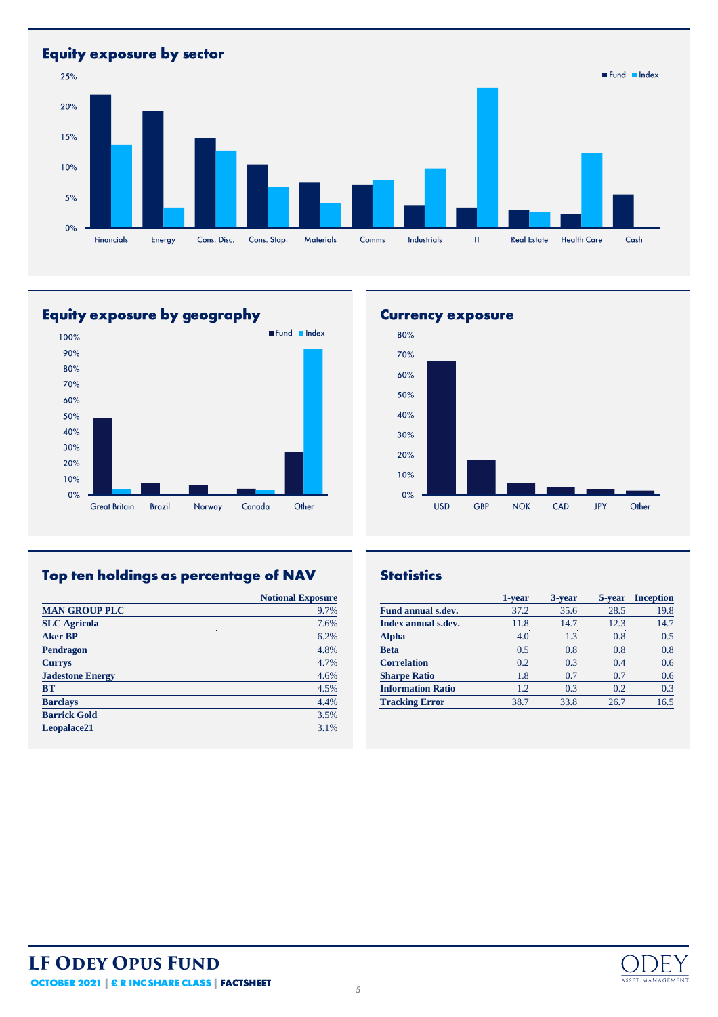**Equity exposure by sector** Fund Index 25% 20% 15%  $10%$  $5%$  $0%$ Financials Cons. Disc. Cons. Stap.  $M$ aterials Industrials  $\ensuremath{\mathsf{IT}}\xspace$ **Real Estate Health Care**  $Cash$ Energy  $Comms$ 

# Equity exposure by geography



# Top ten holdings as percentage of NAV

|                         | <b>Notional Exposure</b> |
|-------------------------|--------------------------|
| <b>MAN GROUP PLC</b>    | 9.7%                     |
| <b>SLC</b> Agricola     | 7.6%                     |
| <b>Aker BP</b>          | 6.2%                     |
| Pendragon               | 4.8%                     |
| <b>Currys</b>           | 4.7%                     |
| <b>Jadestone Energy</b> | 4.6%                     |
| <b>BT</b>               | 4.5%                     |
| <b>Barclays</b>         | 4.4%                     |
| <b>Barrick Gold</b>     | 3.5%                     |
| Leopalace21             | 3.1%                     |

## **Currency exposure**



## **Statistics**

|                           | 1-year | 3-year | 5-year | <b>Inception</b> |
|---------------------------|--------|--------|--------|------------------|
| <b>Fund annual s.dev.</b> | 37.2   | 35.6   | 28.5   | 19.8             |
| Index annual s.dev.       | 11.8   | 14.7   | 12.3   | 14.7             |
| <b>Alpha</b>              | 4.0    | 1.3    | 0.8    | 0.5              |
| Beta                      | 0.5    | 0.8    | 0.8    | 0.8              |
| <b>Correlation</b>        | 0.2    | 0.3    | 0.4    | 0.6              |
| <b>Sharpe Ratio</b>       | 1.8    | 0.7    | 0.7    | 0.6              |
| <b>Information Ratio</b>  | 1.2    | 0.3    | 0.2    | 0.3              |
| <b>Tracking Error</b>     | 38.7   | 33.8   | 26.7   | 16.5             |

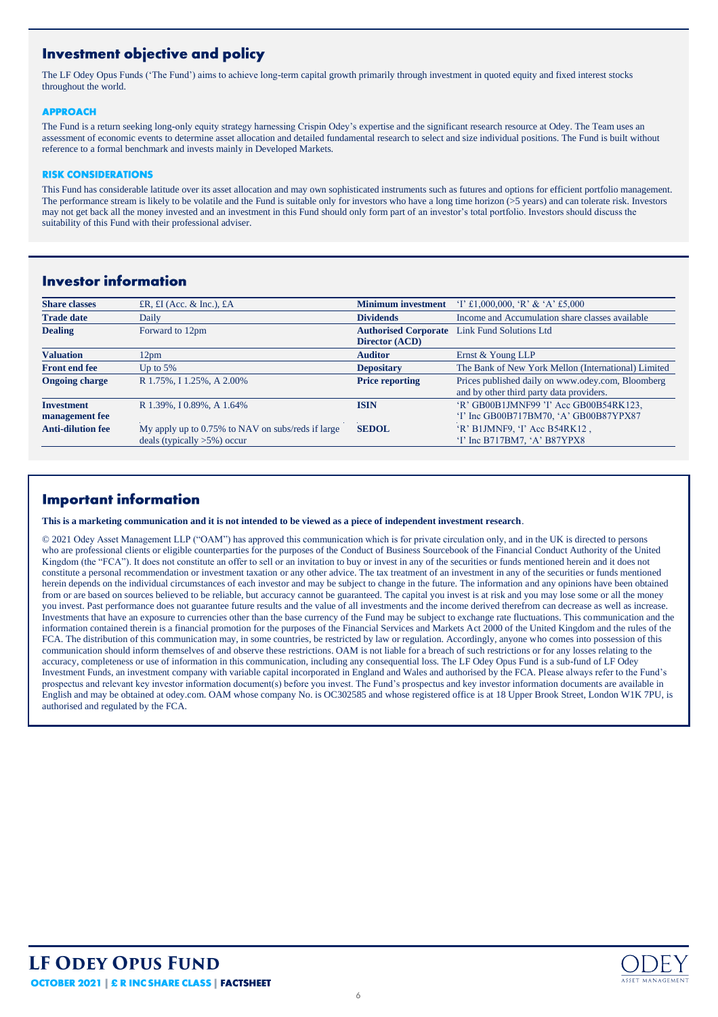# **Investment objective and policy**

The LF Odey Opus Funds ('The Fund') aims to achieve long-term capital growth primarily through investment in quoted equity and fixed interest stocks throughout the world.

#### **APPROACH**

The Fund is a return seeking long-only equity strategy harnessing Crispin Odey's expertise and the significant research resource at Odey. The Team uses an assessment of economic events to determine asset allocation and detailed fundamental research to select and size individual positions. The Fund is built without reference to a formal benchmark and invests mainly in Developed Markets.

#### **RISK CONSIDERATIONS**

This Fund has considerable latitude over its asset allocation and may own sophisticated instruments such as futures and options for efficient portfolio management. The performance stream is likely to be volatile and the Fund is suitable only for investors who have a long time horizon (>5 years) and can tolerate risk. Investors may not get back all the money invested and an investment in this Fund should only form part of an investor's total portfolio. Investors should discuss the suitability of this Fund with their professional adviser.

## **Investor information**

| <b>Share classes</b>     | £R, $E I$ (Acc. & Inc.), $E A$                    | <b>Minimum investment</b>   | $T \t1.000,000$ , 'R' & 'A' £5,000                  |
|--------------------------|---------------------------------------------------|-----------------------------|-----------------------------------------------------|
| <b>Trade date</b>        | Daily                                             | <b>Dividends</b>            | Income and Accumulation share classes available     |
| <b>Dealing</b>           | Forward to 12pm                                   | <b>Authorised Corporate</b> | <b>Link Fund Solutions Ltd</b>                      |
|                          |                                                   | Director (ACD)              |                                                     |
| <b>Valuation</b>         | 12 <sub>pm</sub>                                  | <b>Auditor</b>              | Ernst & Young LLP                                   |
| <b>Front end fee</b>     | Up to $5\%$                                       | <b>Depositary</b>           | The Bank of New York Mellon (International) Limited |
| <b>Ongoing charge</b>    | R 1.75%, I 1.25%, A 2.00%                         | <b>Price reporting</b>      | Prices published daily on www.odey.com, Bloomberg   |
|                          |                                                   |                             | and by other third party data providers.            |
| <b>Investment</b>        | R 1.39%, I 0.89%, A 1.64%                         | <b>ISIN</b>                 | 'R' GB00B1JMNF99 'I' Acc GB00B54RK123.              |
| management fee           |                                                   |                             | 'I' Inc GB00B717BM70, 'A' GB00B87YPX87              |
| <b>Anti-dilution fee</b> | My apply up to 0.75% to NAV on subs/reds if large | <b>SEDOL</b>                | 'R' B1JMNF9, 'I' Acc B54RK12,                       |
|                          | deals (typically $>5\%$ ) occur                   |                             | 'I' Inc B717BM7, 'A' B87YPX8                        |
|                          |                                                   |                             |                                                     |

## **Important information**

**This is a marketing communication and it is not intended to be viewed as a piece of independent investment research**.

© 2021 Odey Asset Management LLP ("OAM") has approved this communication which is for private circulation only, and in the UK is directed to persons who are professional clients or eligible counterparties for the purposes of the Conduct of Business Sourcebook of the Financial Conduct Authority of the United Kingdom (the "FCA"). It does not constitute an offer to sell or an invitation to buy or invest in any of the securities or funds mentioned herein and it does not constitute a personal recommendation or investment taxation or any other advice. The tax treatment of an investment in any of the securities or funds mentioned herein depends on the individual circumstances of each investor and may be subject to change in the future. The information and any opinions have been obtained from or are based on sources believed to be reliable, but accuracy cannot be guaranteed. The capital you invest is at risk and you may lose some or all the money you invest. Past performance does not guarantee future results and the value of all investments and the income derived therefrom can decrease as well as increase. Investments that have an exposure to currencies other than the base currency of the Fund may be subject to exchange rate fluctuations. This communication and the information contained therein is a financial promotion for the purposes of the Financial Services and Markets Act 2000 of the United Kingdom and the rules of the FCA. The distribution of this communication may, in some countries, be restricted by law or regulation. Accordingly, anyone who comes into possession of this communication should inform themselves of and observe these restrictions. OAM is not liable for a breach of such restrictions or for any losses relating to the accuracy, completeness or use of information in this communication, including any consequential loss. The LF Odey Opus Fund is a sub-fund of LF Odey Investment Funds, an investment company with variable capital incorporated in England and Wales and authorised by the FCA. Please always refer to the Fund's prospectus and relevant key investor information document(s) before you invest. The Fund's prospectus and key investor information documents are available in English and may be obtained at odey.com. OAM whose company No. is OC302585 and whose registered office is at 18 Upper Brook Street, London W1K 7PU, is authorised and regulated by the FCA.